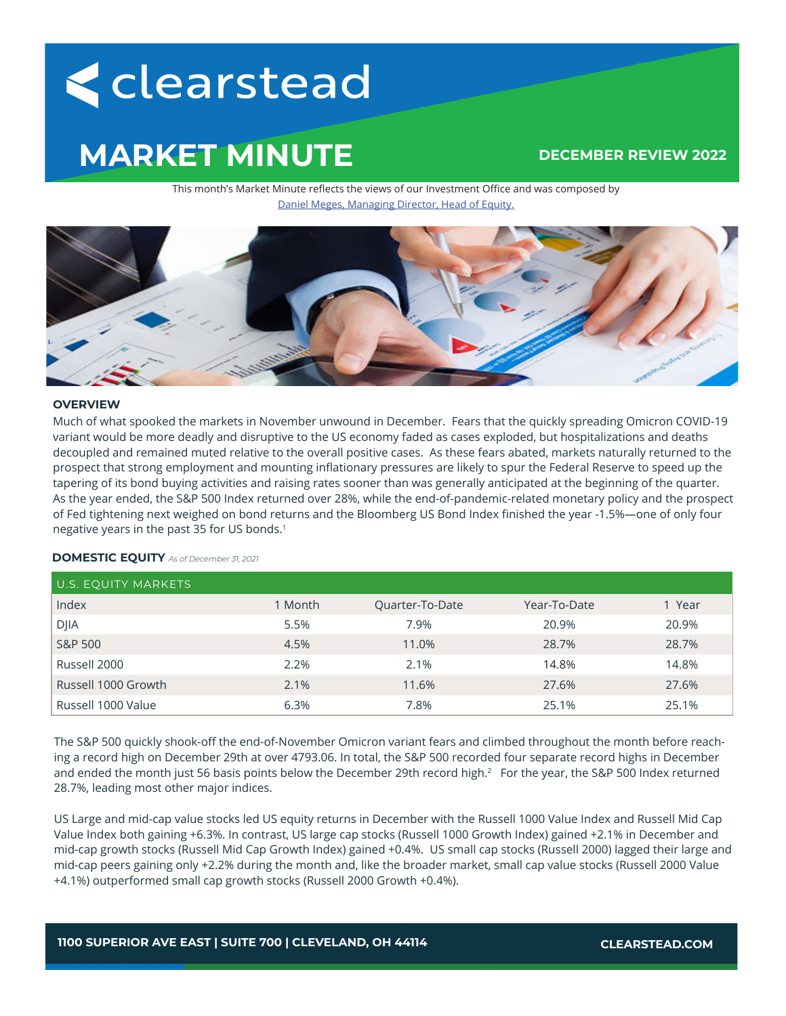# <clearstead

## **MARKET MINUTE**

### **DECEMBER REVIEW 2022**

This month's Market Minute reflects the views of our Investment Office and was composed by Daniel Meges, Managing Director, Head of Equity.



#### **OVERVIEW**

Much of what spooked the markets in November unwound in December. Fears that the quickly spreading Omicron COVID-19 variant would be more deadly and disruptive to the US economy faded as cases exploded, but hospitalizations and deaths decoupled and remained muted relative to the overall positive cases. As these fears abated, markets naturally returned to the prospect that strong employment and mounting inflationary pressures are likely to spur the Federal Reserve to speed up the tapering of its bond buying activities and raising rates sooner than was generally anticipated at the beginning of the quarter. As the year ended, the S&P 500 Index returned over 28%, while the end-of-pandemic-related monetary policy and the prospect of Fed tightening next weighed on bond returns and the Bloomberg US Bond Index finished the year -1.5%—one of only four negative years in the past 35 for US bonds.1

**DOMESTIC EQUITY** *As of December 31, 2021*

| U.S. EQUITY MARKETS |         |                        |              |       |
|---------------------|---------|------------------------|--------------|-------|
| Index               | 1 Month | <b>Quarter-To-Date</b> | Year-To-Date | Year  |
| <b>DJIA</b>         | 5.5%    | 7.9%                   | 20.9%        | 20.9% |
| S&P 500             | 4.5%    | 11.0%                  | 28.7%        | 28.7% |
| Russell 2000        | 2.2%    | 2.1%                   | 14.8%        | 14.8% |
| Russell 1000 Growth | 2.1%    | 11.6%                  | 27.6%        | 27.6% |
| Russell 1000 Value  | 6.3%    | 7.8%                   | 25.1%        | 25.1% |

The S&P 500 quickly shook-off the end-of-November Omicron variant fears and climbed throughout the month before reaching a record high on December 29th at over 4793.06. In total, the S&P 500 recorded four separate record highs in December and ended the month just 56 basis points below the December 29th record high.<sup>2</sup> For the year, the S&P 500 Index returned 28.7%, leading most other major indices.

US Large and mid-cap value stocks led US equity returns in December with the Russell 1000 Value Index and Russell Mid Cap Value Index both gaining +6.3%. In contrast, US large cap stocks (Russell 1000 Growth Index) gained +2.1% in December and mid-cap growth stocks (Russell Mid Cap Growth Index) gained +0.4%. US small cap stocks (Russell 2000) lagged their large and mid-cap peers gaining only +2.2% during the month and, like the broader market, small cap value stocks (Russell 2000 Value +4.1%) outperformed small cap growth stocks (Russell 2000 Growth +0.4%).